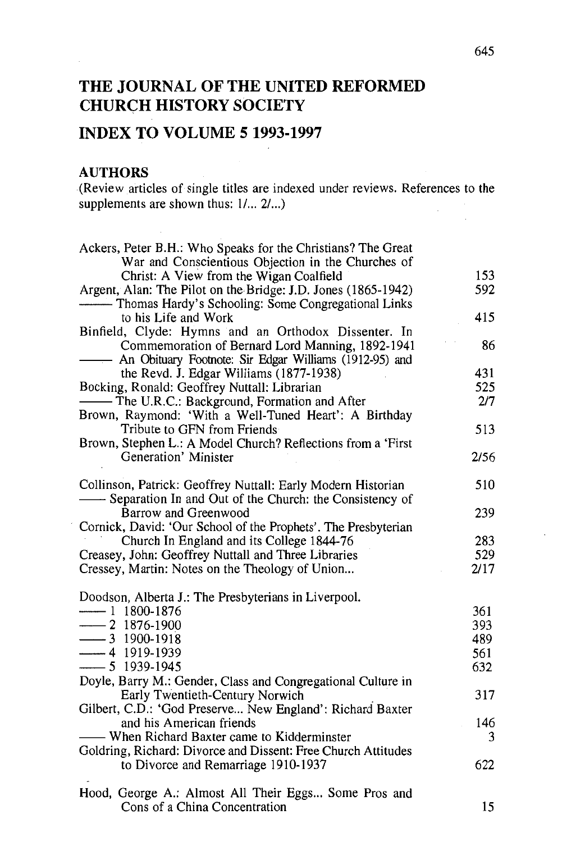# **THE JOURNAL OF THE UNITED REFORMED CHURCH HISTORY SOCIETY**

# **INDEX TO VOLUME 5 1993-1997**

#### **AUTHORS**

(Review articles of single titles are indexed under reviews. References to the supplements are shown thus:  $1/... 2/...$ 

| Ackers, Peter B.H.: Who Speaks for the Christians? The Great   |      |
|----------------------------------------------------------------|------|
| War and Conscientious Objection in the Churches of             |      |
| Christ: A View from the Wigan Coalfield                        | 153  |
| Argent, Alan: The Pilot on the Bridge: J.D. Jones (1865-1942)  | 592  |
|                                                                |      |
| to his Life and Work                                           | 415  |
| Binfield, Clyde: Hymns and an Orthodox Dissenter. In           |      |
| Commemoration of Bernard Lord Manning, 1892-1941               | 86   |
| An Obituary Footnote: Sir Edgar Williams (1912-95) and         |      |
| the Revd. J. Edgar Williams (1877-1938)                        | 431  |
| Bocking, Ronald: Geoffrey Nuttall: Librarian                   | 525  |
| - The U.R.C.: Background, Formation and After                  | 2/7  |
| Brown, Raymond: 'With a Well-Tuned Heart': A Birthday          |      |
| Tribute to GFN from Friends                                    | 513  |
| Brown, Stephen L.: A Model Church? Reflections from a 'First   |      |
| Generation' Minister                                           | 2/56 |
| Collinson, Patrick: Geoffrey Nuttall: Early Modern Historian   | 510  |
| -Separation In and Out of the Church: the Consistency of       |      |
| Barrow and Greenwood                                           | 239  |
| Cornick, David: 'Our School of the Prophets'. The Presbyterian |      |
| Church In England and its College 1844-76                      | 283  |
| Creasey, John: Geoffrey Nuttall and Three Libraries            | 529  |
| Cressey, Martin: Notes on the Theology of Union                | 2/17 |
| Doodson, Alberta J.: The Presbyterians in Liverpool.           |      |
| ——— 1 1800-1876                                                | 361  |
| $-2$ 1876-1900                                                 | 393  |
| $- 3$ 1900-1918                                                | 489  |
| $-4$ 1919-1939                                                 | 561  |
| $-5$ 1939-1945                                                 | 632  |
| Doyle, Barry M.: Gender, Class and Congregational Culture in   |      |
| Early Twentieth-Century Norwich                                | 317  |
| Gilbert, C.D.: 'God Preserve New England': Richard Baxter      |      |
| and his American friends                                       | 146  |
| — When Richard Baxter came to Kidderminster                    | 3    |
| Goldring, Richard: Divorce and Dissent: Free Church Attitudes  |      |
| to Divorce and Remarriage 1910-1937                            | 622  |
|                                                                |      |
| Hood, George A.: Almost All Their Eggs Some Pros and           |      |
| Cons of a China Concentration                                  | 15   |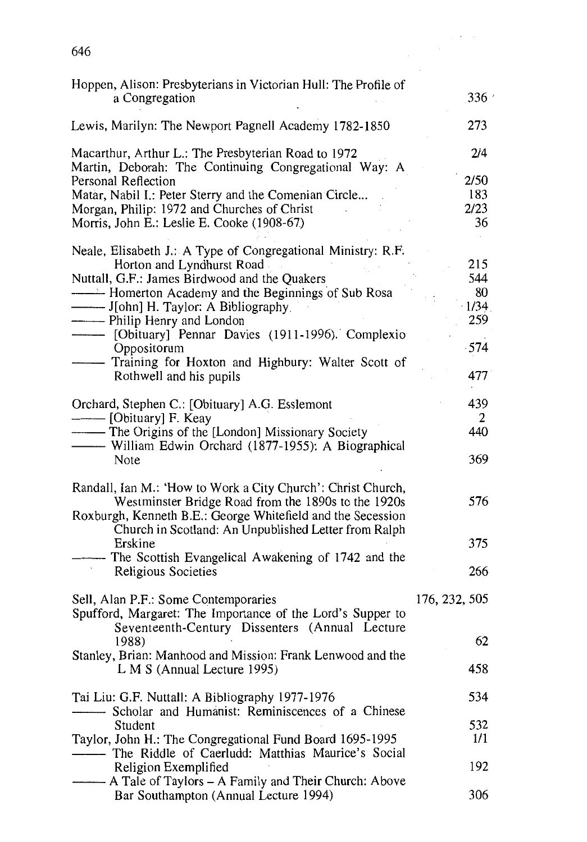| Δŕ<br>٣. |  |
|----------|--|
|          |  |

| Hoppen, Alison: Presbyterians in Victorian Hull: The Profile of<br>a Congregation                                                                                                                                                                                                         | 336'                                             |
|-------------------------------------------------------------------------------------------------------------------------------------------------------------------------------------------------------------------------------------------------------------------------------------------|--------------------------------------------------|
| Lewis, Marilyn: The Newport Pagnell Academy 1782-1850                                                                                                                                                                                                                                     | 273                                              |
| Macarthur, Arthur L.: The Presbyterian Road to 1972<br>Martin, Deborah: The Continuing Congregational Way: A<br>Personal Reflection<br>Matar, Nabil I.: Peter Sterry and the Comenian Circle<br>Morgan, Philip: 1972 and Churches of Christ<br>Morris, John E.: Leslie E. Cooke (1908-67) | 2/4<br>2/50<br>183<br>2/23<br>36                 |
| Neale, Elisabeth J.: A Type of Congregational Ministry: R.F.<br>Horton and Lyndhurst Road<br>Nuttall, G.F.: James Birdwood and the Quakers<br>--------- J[ohn] H. Taylor: A Bibliography.<br>--------- Philip Henry and London<br>Oppositorum<br>Rothwell and his pupils                  | 215<br>544<br>80<br>1/34<br>259<br>$-574$<br>477 |
| Orchard, Stephen C.: [Obituary] A.G. Esslemont<br>- The Origins of the [London] Missionary Society<br>-William Edwin Orchard (1877-1955): A Biographical<br>Note                                                                                                                          | 439<br>2<br>440<br>369                           |
| Randall, Ian M.: 'How to Work a City Church': Christ Church,<br>Westminster Bridge Road from the 1890s to the 1920s<br>Roxburgh, Kenneth B.E.: George Whitefield and the Secession<br>Church in Scotland: An Unpublished Letter from Ralph                                                | 576                                              |
| Erskine<br>- The Scottish Evangelical Awakening of 1742 and the<br>Religious Societies                                                                                                                                                                                                    | 375<br>266                                       |
| Sell, Alan P.F.: Some Contemporaries<br>Spufford, Margaret: The Importance of the Lord's Supper to                                                                                                                                                                                        | 176, 232, 505                                    |
| Seventeenth-Century Dissenters (Annual Lecture<br>1988)<br>Stanley, Brian: Manhood and Mission: Frank Lenwood and the                                                                                                                                                                     | 62                                               |
| L M S (Annual Lecture 1995)                                                                                                                                                                                                                                                               | 458                                              |
| Tai Liu: G.F. Nuttall: A Bibliography 1977-1976<br>Scholar and Humanist: Reminiscences of a Chinese                                                                                                                                                                                       | 534                                              |
| Student<br>Taylor, John H.: The Congregational Fund Board 1695-1995                                                                                                                                                                                                                       | 532<br>1/1                                       |
| Religion Exemplified<br>--- A Tale of Taylors - A Family and Their Church: Above<br>Bar Southampton (Annual Lecture 1994)                                                                                                                                                                 | 192<br>306                                       |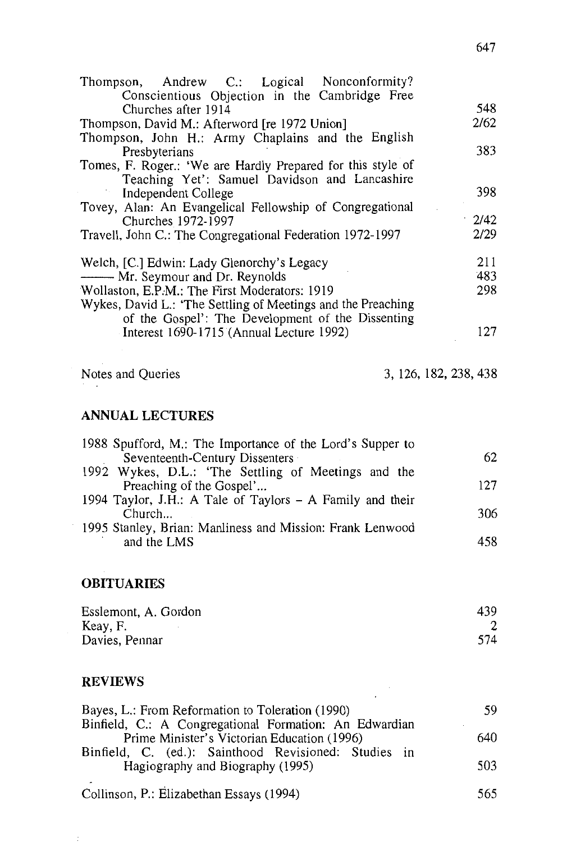| Thompson, Andrew C.: Logical Nonconformity?                                                                       |      |
|-------------------------------------------------------------------------------------------------------------------|------|
| Conscientious Objection in the Cambridge Free                                                                     |      |
| Churches after 1914                                                                                               | 548  |
| Thompson, David M.: Afterword [re 1972 Union]                                                                     | 2/62 |
| Thompson, John H.: Army Chaplains and the English                                                                 |      |
| Presbyterians                                                                                                     | 383  |
| Tomes, F. Roger.: 'We are Hardly Prepared for this style of                                                       |      |
| Teaching Yet': Samuel Davidson and Lancashire                                                                     |      |
| Independent College                                                                                               | 398  |
| Tovey, Alan: An Evangelical Fellowship of Congregational                                                          |      |
| Churches 1972-1997                                                                                                | 2/42 |
| Travell, John C.: The Congregational Federation 1972-1997                                                         | 2/29 |
| Welch, [C.] Edwin: Lady Glenorchy's Legacy                                                                        | 211  |
| - Mr. Seymour and Dr. Reynolds                                                                                    | 483  |
| Wollaston, E.P.M.: The First Moderators: 1919                                                                     | 298  |
| Wykes, David L.: 'The Settling of Meetings and the Preaching<br>of the Gospel': The Development of the Dissenting |      |
| Interest 1690-1715 (Annual Lecture 1992)                                                                          | 127  |

Notes and Queries 3, 126, 182, 238, 438

#### **ANNUAL LECTURES**

| 1988 Spufford, M.: The Importance of the Lord's Supper to |     |
|-----------------------------------------------------------|-----|
| Seventeenth-Century Dissenters                            | 62  |
| 1992 Wykes, D.L.: 'The Settling of Meetings and the       |     |
| Preaching of the Gospel'                                  | 127 |
| 1994 Taylor, J.H.: A Tale of Taylors - A Family and their |     |
| Church                                                    | 306 |
| 1995 Stanley, Brian: Manliness and Mission: Frank Lenwood |     |
| and the LMS                                               | 458 |

## **OBITUARIES**

| Esslemont, A. Gordon | 439 |
|----------------------|-----|
| Keay, F.             |     |
| Davies, Pennar       | 574 |

## **REVIEWS**

 $\bar{\Sigma}$ 

| Bayes, L.: From Reformation to Toleration (1990)       | 59.  |
|--------------------------------------------------------|------|
| Binfield, C.: A Congregational Formation: An Edwardian |      |
| Prime Minister's Victorian Education (1996)            | 640  |
| Binfield, C. (ed.): Sainthood Revisioned: Studies in   |      |
| Hagiography and Biography (1995)                       | 503  |
|                                                        |      |
| Collinson, P.: Elizabethan Essays (1994)               | 565. |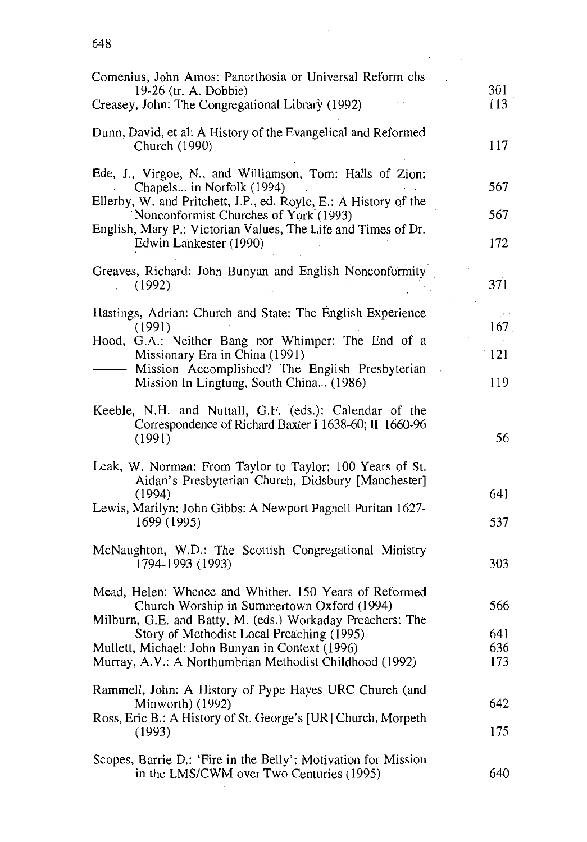| Comenius, John Amos: Panorthosia or Universal Reform chs<br>19-26 (tr. A. Dobbie)<br>Creasey, John: The Congregational Library (1992)                                                                                                                                                                                         | 301<br>$-113$            |
|-------------------------------------------------------------------------------------------------------------------------------------------------------------------------------------------------------------------------------------------------------------------------------------------------------------------------------|--------------------------|
| Dunn, David, et al: A History of the Evangelical and Reformed<br>Church (1990)                                                                                                                                                                                                                                                | 117                      |
| Ede, J., Virgoe, N., and Williamson, Tom: Halls of Zion:<br>Chapels in Norfolk (1994)<br>Ellerby, W. and Pritchett, J.P., ed. Royle, E.: A History of the<br>Nonconformist Churches of York (1993)                                                                                                                            | 567<br>567               |
| English, Mary P.: Victorian Values, The Life and Times of Dr.<br>Edwin Lankester (1990)                                                                                                                                                                                                                                       | 172                      |
| Greaves, Richard: John Bunyan and English Nonconformity<br>(1992)                                                                                                                                                                                                                                                             | 371                      |
| Hastings, Adrian: Church and State: The English Experience<br>(1991)<br>Hood, G.A.: Neither Bang nor Whimper: The End of a                                                                                                                                                                                                    | 167                      |
| Missionary Era in China (1991)<br>Mission Accomplished? The English Presbyterian                                                                                                                                                                                                                                              | 121                      |
| Mission In Lingtung, South China (1986)<br>Keeble, N.H. and Nuttall, G.F. (eds.): Calendar of the<br>Correspondence of Richard Baxter I 1638-60; II 1660-96<br>(1991)                                                                                                                                                         | 119<br>56                |
| Leak, W. Norman: From Taylor to Taylor: 100 Years of St.<br>Aidan's Presbyterian Church, Didsbury [Manchester]<br>(1994)<br>Lewis, Marilyn: John Gibbs: A Newport Pagnell Puritan 1627-<br>1699 (1995)                                                                                                                        | 641<br>537               |
| McNaughton, W.D.: The Scottish Congregational Ministry<br>1794-1993 (1993)                                                                                                                                                                                                                                                    | 303                      |
| Mead, Helen: Whence and Whither. 150 Years of Reformed<br>Church Worship in Summertown Oxford (1994)<br>Milburn, G.E. and Batty, M. (eds.) Workaday Preachers: The<br>Story of Methodist Local Preaching (1995)<br>Mullett, Michael: John Bunyan in Context (1996)<br>Murray, A.V.: A Northumbrian Methodist Childhood (1992) | 566<br>641<br>636<br>173 |
| Rammell, John: A History of Pype Hayes URC Church (and<br>Minworth) (1992)<br>Ross, Eric B.: A History of St. George's [UR] Church, Morpeth<br>(1993)                                                                                                                                                                         | 642<br>175               |
| Scopes, Barrie D.: 'Fire in the Belly': Motivation for Mission<br>in the LMS/CWM over Two Centuries (1995)                                                                                                                                                                                                                    | 640                      |

 $\sim$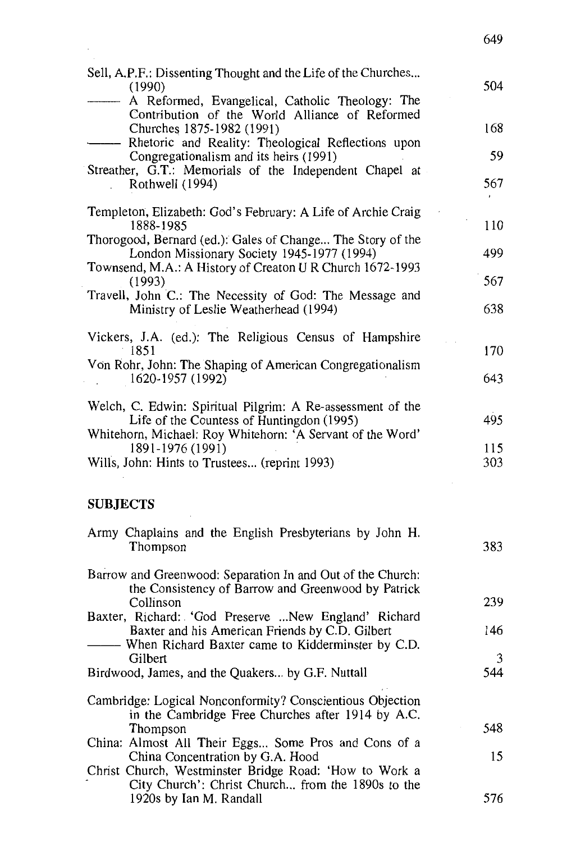| Sell, A.P.F.: Dissenting Thought and the Life of the Churches<br>(1990)<br>A Reformed, Evangelical, Catholic Theology: The                                            | 504 |
|-----------------------------------------------------------------------------------------------------------------------------------------------------------------------|-----|
| Contribution of the World Alliance of Reformed<br>Churches 1875-1982 (1991)<br>Rhetoric and Reality: Theological Reflections upon                                     | 168 |
| Congregationalism and its heirs (1991)                                                                                                                                | 59  |
| Streather, G.T.: Memorials of the Independent Chapel at<br>Rothwell (1994)                                                                                            | 567 |
| Templeton, Elizabeth: God's February: A Life of Archie Craig<br>1888-1985                                                                                             | 110 |
| Thorogood, Bernard (ed.): Gales of Change The Story of the<br>London Missionary Society 1945-1977 (1994)<br>Townsend, M.A.: A History of Creaton U R Church 1672-1993 | 499 |
| (1993)                                                                                                                                                                | 567 |
| Travell, John C.: The Necessity of God: The Message and<br>Ministry of Leslie Weatherhead (1994)                                                                      | 638 |
| Vickers, J.A. (ed.): The Religious Census of Hampshire<br>1851                                                                                                        | 170 |
| Von Rohr, John: The Shaping of American Congregationalism<br>1620-1957 (1992)                                                                                         | 643 |
| Welch, C. Edwin: Spiritual Pilgrim: A Re-assessment of the<br>Life of the Countess of Huntingdon (1995)                                                               | 495 |
| Whitehorn, Michael: Roy Whitehorn: 'A Servant of the Word'<br>1891-1976 (1991)                                                                                        | 115 |
| Wills, John: Hints to Trustees (reprint 1993)                                                                                                                         | 303 |
| <b>SUBJECTS</b>                                                                                                                                                       |     |
| Army Chaplains and the English Presbyterians by John H.<br>Thompson                                                                                                   | 383 |

649

| Barrow and Greenwood: Separation In and Out of the Church: |     |
|------------------------------------------------------------|-----|
| the Consistency of Barrow and Greenwood by Patrick         |     |
| Collinson                                                  | 239 |
| Baxter, Richard: 'God Preserve  New England' Richard       |     |
| Baxter and his American Friends by C.D. Gilbert            | 146 |

Baxter and his American Friends by C.D. Gilbert<br>——— When Richard Baxter came to Kidderminster by C.D. Gilbert Birdwood, James, and the Quakers ... by G.F. Nuttall 3 544

- Cambridge: Logical Nonconformity? Conscientious Objection in the Cambridge Free Churches after 1914 by A.C. Thompson China: Almost All Their Eggs... Some Pros and Cons of a 548
- China Concentration by G.A. Hood Christ Church, Westminster Bridge Road: 'How to Work a City Church': Christ Church... from the 1890s to the 1920s by Ian M. Randall 15 576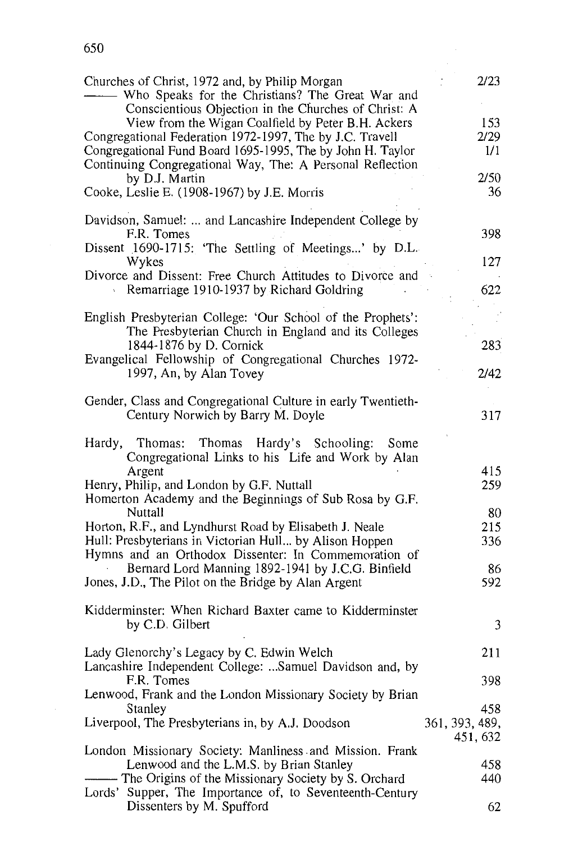|                                                                                                                                                            | 2/23           |
|------------------------------------------------------------------------------------------------------------------------------------------------------------|----------------|
| Churches of Christ, 1972 and, by Philip Morgan<br>Who Speaks for the Christians? The Great War and<br>Conscientious Objection in the Churches of Christ: A |                |
| View from the Wigan Coalfield by Peter B.H. Ackers                                                                                                         | 153            |
| Congregational Federation 1972-1997, The by J.C. Travell                                                                                                   | 2/29           |
| Congregational Fund Board 1695-1995, The by John H. Taylor<br>Continuing Congregational Way, The: A Personal Reflection                                    | 1/1            |
| by D.J. Martin                                                                                                                                             | 2/50           |
| Cooke, Leslie E. (1908-1967) by J.E. Morris                                                                                                                | 36             |
| Davidson, Samuel:  and Lancashire Independent College by                                                                                                   |                |
| F.R. Tomes                                                                                                                                                 | 398            |
| Dissent 1690-1715: 'The Settling of Meetings' by D.L.<br>Wykes                                                                                             | 127            |
| Divorce and Dissent: Free Church Attitudes to Divorce and                                                                                                  |                |
| Remarriage 1910-1937 by Richard Goldring                                                                                                                   | 622            |
| English Presbyterian College: 'Our School of the Prophets':                                                                                                |                |
| The Presbyterian Church in England and its Colleges                                                                                                        |                |
| 1844-1876 by D. Cornick                                                                                                                                    | 283            |
| Evangelical Fellowship of Congregational Churches 1972-<br>1997, An, by Alan Tovey                                                                         | 2/42           |
|                                                                                                                                                            |                |
| Gender, Class and Congregational Culture in early Twentieth-                                                                                               |                |
| Century Norwich by Barry M. Doyle                                                                                                                          | 317            |
| Hardy's Schooling:<br>Thomas:<br>Thomas<br>Hardy,<br>Some                                                                                                  |                |
| Congregational Links to his Life and Work by Alan                                                                                                          |                |
| Argent                                                                                                                                                     | 415            |
| Henry, Philip, and London by G.F. Nuttall<br>Homerton Academy and the Beginnings of Sub Rosa by G.F.                                                       | 259            |
| Nuttall<br>Horton, R.F., and Lyndhurst Road by Elisabeth J. Neale                                                                                          | 80<br>215      |
| Hull: Presbyterians in Victorian Hull by Alison Hoppen                                                                                                     | 336            |
| Hymns and an Orthodox Dissenter: In Commemoration of                                                                                                       |                |
| Bernard Lord Manning 1892-1941 by J.C.G. Binfield                                                                                                          | 86             |
| Jones, J.D., The Pilot on the Bridge by Alan Argent                                                                                                        | 592            |
| Kidderminster: When Richard Baxter came to Kidderminster                                                                                                   |                |
| by C.D. Gilbert                                                                                                                                            | 3              |
| Lady Glenorchy's Legacy by C. Edwin Welch                                                                                                                  | 211            |
| Lancashire Independent College: Samuel Davidson and, by                                                                                                    |                |
| F.R. Tomes                                                                                                                                                 | 398            |
| Lenwood, Frank and the London Missionary Society by Brian                                                                                                  |                |
| Stanley                                                                                                                                                    | 458            |
| Liverpool, The Presbyterians in, by A.J. Doodson                                                                                                           | 361, 393, 489, |
| London Missionary Society: Manliness and Mission. Frank                                                                                                    | 451, 632       |
| Lenwood and the L.M.S. by Brian Stanley                                                                                                                    | 458            |
| - The Origins of the Missionary Society by S. Orchard                                                                                                      | 440            |
| Lords' Supper, The Importance of, to Seventeenth-Century                                                                                                   |                |
| Dissenters by M. Spufford                                                                                                                                  | 62             |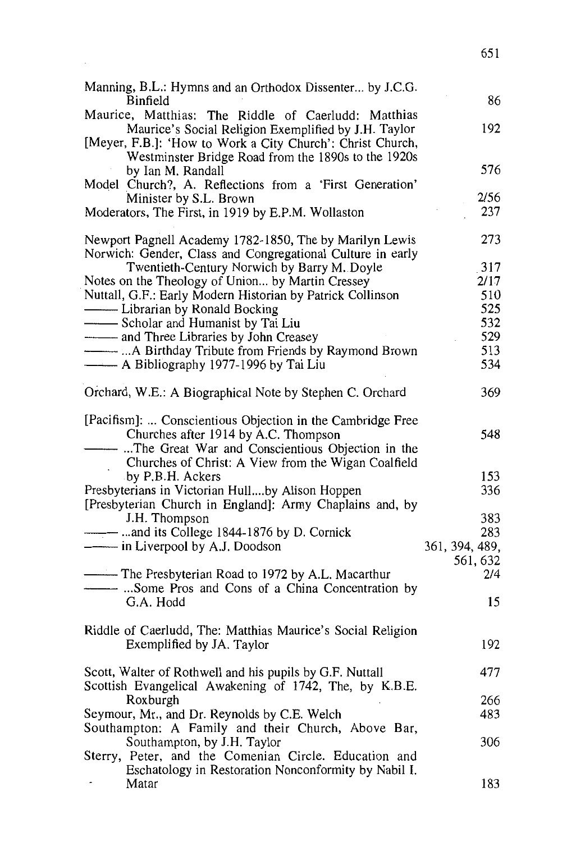| Manning, B.L.: Hymns and an Orthodox Dissenter by J.C.G.<br>Binfield | 86             |
|----------------------------------------------------------------------|----------------|
| Maurice, Matthias: The Riddle of Caerludd: Matthias                  |                |
| Maurice's Social Religion Exemplified by J.H. Taylor                 | 192            |
| [Meyer, F.B.]: 'How to Work a City Church': Christ Church,           |                |
| Westminster Bridge Road from the 1890s to the 1920s                  |                |
| by Ian M. Randall                                                    | 576            |
| Model Church?, A. Reflections from a 'First Generation'              |                |
| Minister by S.L. Brown                                               | 2/56           |
| Moderators, The First, in 1919 by E.P.M. Wollaston                   | 237            |
|                                                                      |                |
| Newport Pagnell Academy 1782-1850, The by Marilyn Lewis              | 273            |
|                                                                      |                |
| Norwich: Gender, Class and Congregational Culture in early           |                |
| Twentieth-Century Norwich by Barry M. Doyle                          | 317            |
| Notes on the Theology of Union by Martin Cressey                     | 2/17           |
| Nuttall, G.F.: Early Modern Historian by Patrick Collinson           | 510            |
|                                                                      | 525            |
| - Scholar and Humanist by Tai Liu                                    | 532            |
| - and Three Libraries by John Creasey                                | 529            |
|                                                                      | 513            |
| -A Bibliography 1977-1996 by Tai Liu                                 | 534            |
|                                                                      |                |
| Orchard, W.E.: A Biographical Note by Stephen C. Orchard             | 369            |
|                                                                      |                |
| [Pacifism]:  Conscientious Objection in the Cambridge Free           |                |
| Churches after 1914 by A.C. Thompson                                 | 548            |
| - The Great War and Conscientious Objection in the                   |                |
| Churches of Christ: A View from the Wigan Coalfield                  |                |
| by P.B.H. Ackers                                                     | 153            |
|                                                                      |                |
| Presbyterians in Victorian Hullby Alison Hoppen                      | 336            |
| [Presbyterian Church in England]: Army Chaplains and, by             |                |
| J.H. Thompson                                                        | 383            |
|                                                                      | 283            |
| ------- in Liverpool by A.J. Doodson                                 | 361, 394, 489, |
|                                                                      | 561, 632       |
| -The Presbyterian Road to 1972 by A.L. Macarthur                     | 2/4            |
|                                                                      |                |
| G.A. Hodd                                                            | 15             |
|                                                                      |                |
| Riddle of Caerludd, The: Matthias Maurice's Social Religion          |                |
| Exemplified by JA. Taylor                                            | 192            |
|                                                                      |                |
| Scott, Walter of Rothwell and his pupils by G.F. Nuttall             | 477            |
| Scottish Evangelical Awakening of 1742, The, by K.B.E.               |                |
| Roxburgh                                                             | 266            |
| Seymour, Mr., and Dr. Reynolds by C.E. Welch                         | 483            |
|                                                                      |                |
| Southampton: A Family and their Church, Above Bar,                   |                |
| Southampton, by J.H. Taylor                                          | 306            |
| Sterry, Peter, and the Comenian Circle. Education and                |                |
| Eschatology in Restoration Nonconformity by Nabil I.                 |                |
| Matar                                                                | 183            |

651